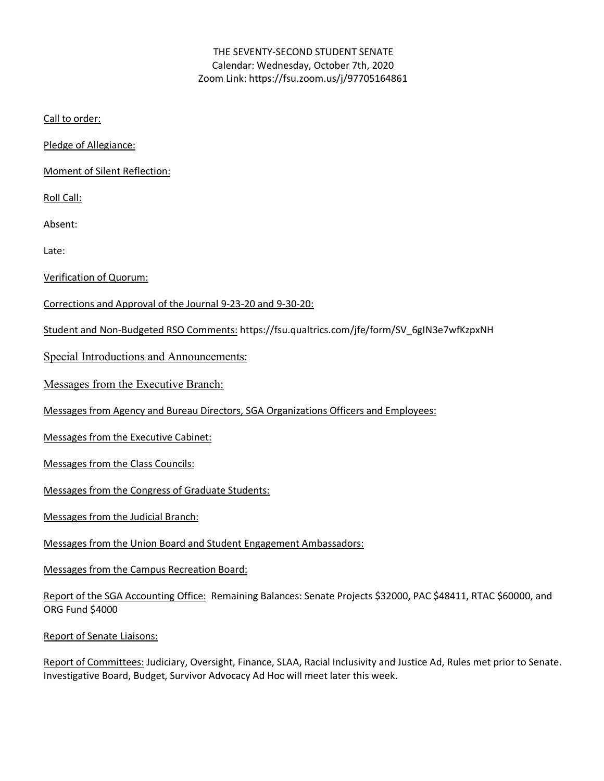## THE SEVENTY-SECOND STUDENT SENATE Calendar: Wednesday, October 7th, 2020 Zoom Link: https://fsu.zoom.us/j/97705164861

Call to order:

Pledge of Allegiance:

Moment of Silent Reflection:

Roll Call:

Absent:

Late:

Verification of Quorum:

Corrections and Approval of the Journal 9-23-20 and 9-30-20:

Student and Non-Budgeted RSO Comments: https://fsu.qualtrics.com/jfe/form/SV\_6gIN3e7wfKzpxNH

Special Introductions and Announcements:

Messages from the Executive Branch:

Messages from Agency and Bureau Directors, SGA Organizations Officers and Employees:

Messages from the Executive Cabinet:

Messages from the Class Councils:

Messages from the Congress of Graduate Students:

Messages from the Judicial Branch:

Messages from the Union Board and Student Engagement Ambassadors:

Messages from the Campus Recreation Board:

Report of the SGA Accounting Office: Remaining Balances: Senate Projects \$32000, PAC \$48411, RTAC \$60000, and ORG Fund \$4000

Report of Senate Liaisons:

Report of Committees: Judiciary, Oversight, Finance, SLAA, Racial Inclusivity and Justice Ad, Rules met prior to Senate. Investigative Board, Budget, Survivor Advocacy Ad Hoc will meet later this week.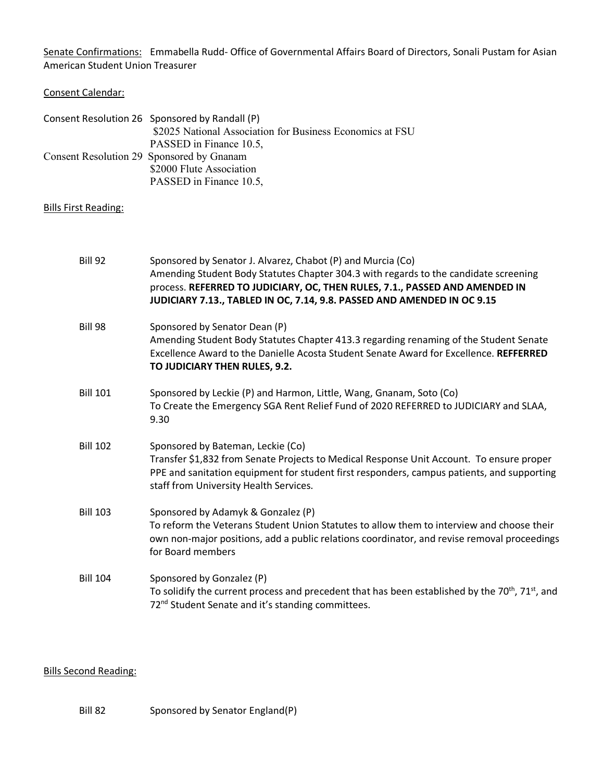Senate Confirmations: Emmabella Rudd- Office of Governmental Affairs Board of Directors, Sonali Pustam for Asian American Student Union Treasurer

#### Consent Calendar:

| Consent Resolution 26 Sponsored by Randall (P)            |
|-----------------------------------------------------------|
| \$2025 National Association for Business Economics at FSU |
| PASSED in Finance 10.5,                                   |
| Consent Resolution 29 Sponsored by Gnanam                 |
| \$2000 Flute Association                                  |
| PASSED in Finance 10.5,                                   |

#### Bills First Reading:

| <b>Bill 92</b>  | Sponsored by Senator J. Alvarez, Chabot (P) and Murcia (Co)<br>Amending Student Body Statutes Chapter 304.3 with regards to the candidate screening<br>process. REFERRED TO JUDICIARY, OC, THEN RULES, 7.1., PASSED AND AMENDED IN<br>JUDICIARY 7.13., TABLED IN OC, 7.14, 9.8. PASSED AND AMENDED IN OC 9.15 |
|-----------------|---------------------------------------------------------------------------------------------------------------------------------------------------------------------------------------------------------------------------------------------------------------------------------------------------------------|
| Bill 98         | Sponsored by Senator Dean (P)<br>Amending Student Body Statutes Chapter 413.3 regarding renaming of the Student Senate<br>Excellence Award to the Danielle Acosta Student Senate Award for Excellence. REFFERRED<br>TO JUDICIARY THEN RULES, 9.2.                                                             |
| <b>Bill 101</b> | Sponsored by Leckie (P) and Harmon, Little, Wang, Gnanam, Soto (Co)<br>To Create the Emergency SGA Rent Relief Fund of 2020 REFERRED to JUDICIARY and SLAA,<br>9.30                                                                                                                                           |
| <b>Bill 102</b> | Sponsored by Bateman, Leckie (Co)<br>Transfer \$1,832 from Senate Projects to Medical Response Unit Account. To ensure proper<br>PPE and sanitation equipment for student first responders, campus patients, and supporting<br>staff from University Health Services.                                         |
| <b>Bill 103</b> | Sponsored by Adamyk & Gonzalez (P)<br>To reform the Veterans Student Union Statutes to allow them to interview and choose their<br>own non-major positions, add a public relations coordinator, and revise removal proceedings<br>for Board members                                                           |
| <b>Bill 104</b> | Sponsored by Gonzalez (P)<br>To solidify the current process and precedent that has been established by the 70 <sup>th</sup> , 71 <sup>st</sup> , and<br>72 <sup>nd</sup> Student Senate and it's standing committees.                                                                                        |

## Bills Second Reading:

Bill 82 Sponsored by Senator England(P)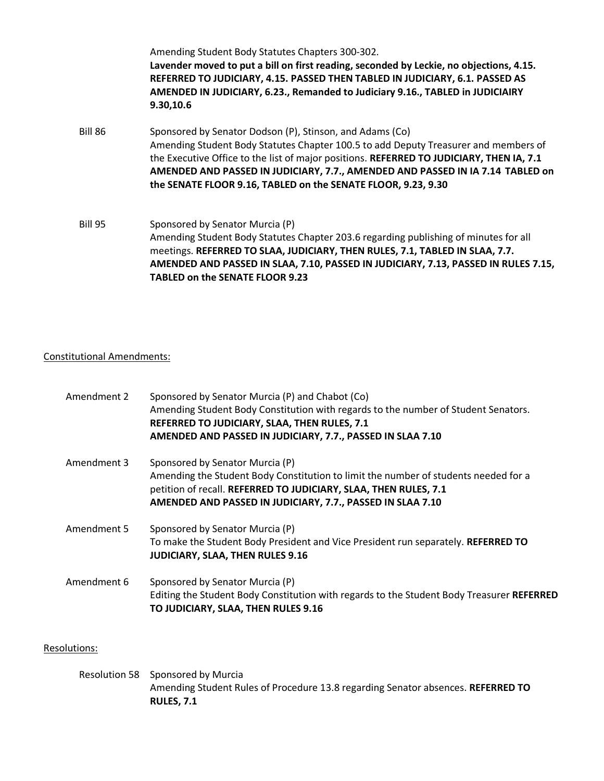|                | Amending Student Body Statutes Chapters 300-302.<br>Lavender moved to put a bill on first reading, seconded by Leckie, no objections, 4.15.<br>REFERRED TO JUDICIARY, 4.15. PASSED THEN TABLED IN JUDICIARY, 6.1. PASSED AS<br>AMENDED IN JUDICIARY, 6.23., Remanded to Judiciary 9.16., TABLED in JUDICIAIRY<br>9.30,10.6                                                                     |
|----------------|------------------------------------------------------------------------------------------------------------------------------------------------------------------------------------------------------------------------------------------------------------------------------------------------------------------------------------------------------------------------------------------------|
| <b>Bill 86</b> | Sponsored by Senator Dodson (P), Stinson, and Adams (Co)<br>Amending Student Body Statutes Chapter 100.5 to add Deputy Treasurer and members of<br>the Executive Office to the list of major positions. REFERRED TO JUDICIARY, THEN IA, 7.1<br>AMENDED AND PASSED IN JUDICIARY, 7.7., AMENDED AND PASSED IN IA 7.14 TABLED on<br>the SENATE FLOOR 9.16, TABLED on the SENATE FLOOR, 9.23, 9.30 |
| Bill 95        | Sponsored by Senator Murcia (P)<br>Amending Student Body Statutes Chapter 203.6 regarding publishing of minutes for all<br>meetings. REFERRED TO SLAA, JUDICIARY, THEN RULES, 7.1, TABLED IN SLAA, 7.7.<br>AMENDED AND PASSED IN SLAA, 7.10, PASSED IN JUDICIARY, 7.13, PASSED IN RULES 7.15,<br><b>TABLED on the SENATE FLOOR 9.23</b>                                                        |

## Constitutional Amendments:

| Amendment 2 | Sponsored by Senator Murcia (P) and Chabot (Co)<br>Amending Student Body Constitution with regards to the number of Student Senators.<br>REFERRED TO JUDICIARY, SLAA, THEN RULES, 7.1<br>AMENDED AND PASSED IN JUDICIARY, 7.7., PASSED IN SLAA 7.10      |
|-------------|----------------------------------------------------------------------------------------------------------------------------------------------------------------------------------------------------------------------------------------------------------|
| Amendment 3 | Sponsored by Senator Murcia (P)<br>Amending the Student Body Constitution to limit the number of students needed for a<br>petition of recall. REFERRED TO JUDICIARY, SLAA, THEN RULES, 7.1<br>AMENDED AND PASSED IN JUDICIARY, 7.7., PASSED IN SLAA 7.10 |
| Amendment 5 | Sponsored by Senator Murcia (P)<br>To make the Student Body President and Vice President run separately. REFERRED TO<br><b>JUDICIARY, SLAA, THEN RULES 9.16</b>                                                                                          |
| Amendment 6 | Sponsored by Senator Murcia (P)<br>Editing the Student Body Constitution with regards to the Student Body Treasurer REFERRED<br>TO JUDICIARY, SLAA, THEN RULES 9.16                                                                                      |

# Resolutions:

Resolution 58 Sponsored by Murcia Amending Student Rules of Procedure 13.8 regarding Senator absences. **REFERRED TO RULES, 7.1**